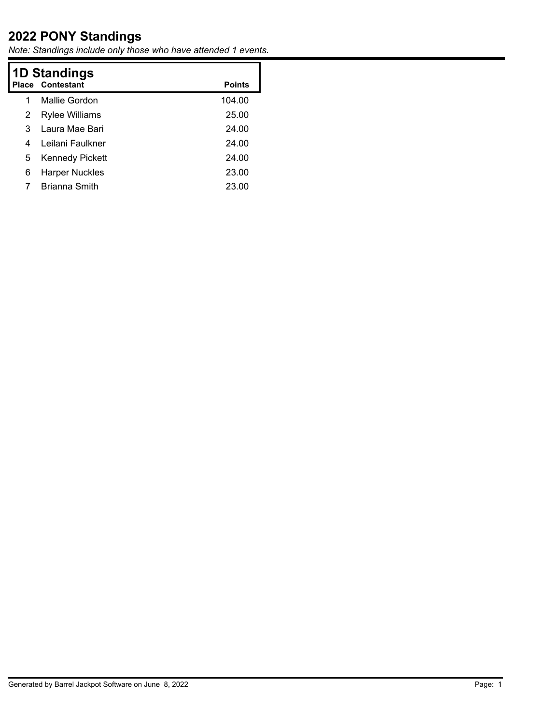## **2022 PONY Standings**

*Note: Standings include only those who have attended 1 events.*

| <b>1D Standings</b> |                         |               |  |
|---------------------|-------------------------|---------------|--|
|                     | <b>Place Contestant</b> | <b>Points</b> |  |
| 1                   | Mallie Gordon           | 104.00        |  |
| 2                   | <b>Rylee Williams</b>   | 25.00         |  |
| 3                   | Laura Mae Bari          | 24.00         |  |
| 4                   | Leilani Faulkner        | 24.00         |  |
| 5                   | <b>Kennedy Pickett</b>  | 24.00         |  |
| 6                   | <b>Harper Nuckles</b>   | 23.00         |  |
|                     | <b>Brianna Smith</b>    | 23.00         |  |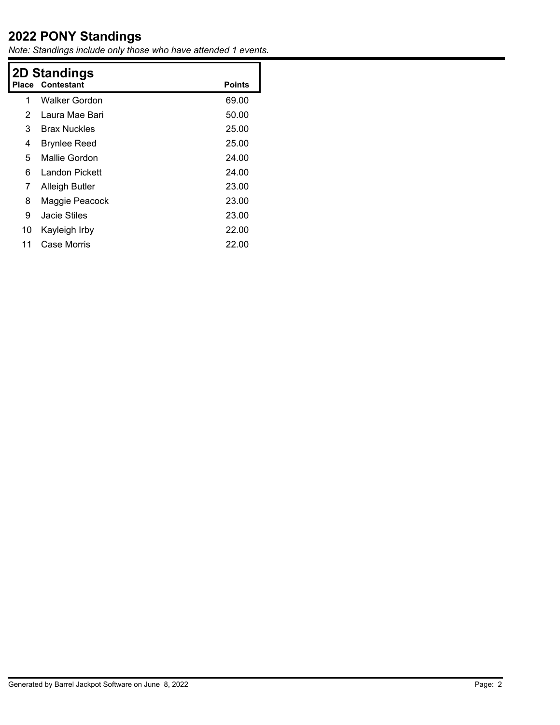## **2022 PONY Standings**

*Note: Standings include only those who have attended 1 events.*

| 2D Standings            |               |  |  |  |
|-------------------------|---------------|--|--|--|
| <b>Place Contestant</b> | <b>Points</b> |  |  |  |
| Walker Gordon           | 69.00         |  |  |  |
| Laura Mae Bari          | 50.00         |  |  |  |
| <b>Brax Nuckles</b>     | 25.00         |  |  |  |
| <b>Brynlee Reed</b>     | 25.00         |  |  |  |
| Mallie Gordon           | 24.00         |  |  |  |
| Landon Pickett          | 24.00         |  |  |  |
| <b>Alleigh Butler</b>   | 23.00         |  |  |  |
| Maggie Peacock          | 23.00         |  |  |  |
| Jacie Stiles            | 23.00         |  |  |  |
| Kayleigh Irby           | 22.00         |  |  |  |
| Case Morris             | 22.00         |  |  |  |
|                         |               |  |  |  |